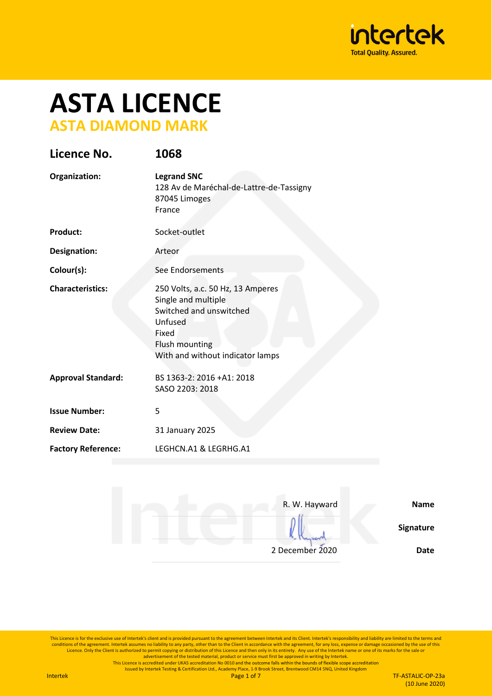

# **ASTA LICENCE ASTA DIAMOND MARK**

| Licence No.               | 1068                                                                                                                                                          |
|---------------------------|---------------------------------------------------------------------------------------------------------------------------------------------------------------|
| Organization:             | <b>Legrand SNC</b><br>128 Av de Maréchal-de-Lattre-de-Tassigny<br>87045 Limoges<br>France                                                                     |
| <b>Product:</b>           | Socket-outlet                                                                                                                                                 |
| <b>Designation:</b>       | Arteor                                                                                                                                                        |
| Colour(s):                | See Endorsements                                                                                                                                              |
| <b>Characteristics:</b>   | 250 Volts, a.c. 50 Hz, 13 Amperes<br>Single and multiple<br>Switched and unswitched<br>Unfused<br>Fixed<br>Flush mounting<br>With and without indicator lamps |
| <b>Approval Standard:</b> | BS 1363-2: 2016 +A1: 2018<br>SASO 2203: 2018                                                                                                                  |
| <b>Issue Number:</b>      | 5                                                                                                                                                             |
| <b>Review Date:</b>       | 31 January 2025                                                                                                                                               |
| <b>Factory Reference:</b> | LEGHCN.A1 & LEGRHG.A1                                                                                                                                         |

| <b>Name</b> | R. W. Hayward   |
|-------------|-----------------|
| Signature   |                 |
| <b>Date</b> | 2 December 2020 |

This Licence is for the exclusive use of Intertek's client and is provided pursuant to the agreement between Intertek and its Client. Intertek's responsibility and liability are limited to the terms and conditions of the agreement. Intertek assumes no liability to any party, other than to the Client in accordance with the agreement, for any loss, expense or damage occasioned by the use of this<br>Licence. Only the Client is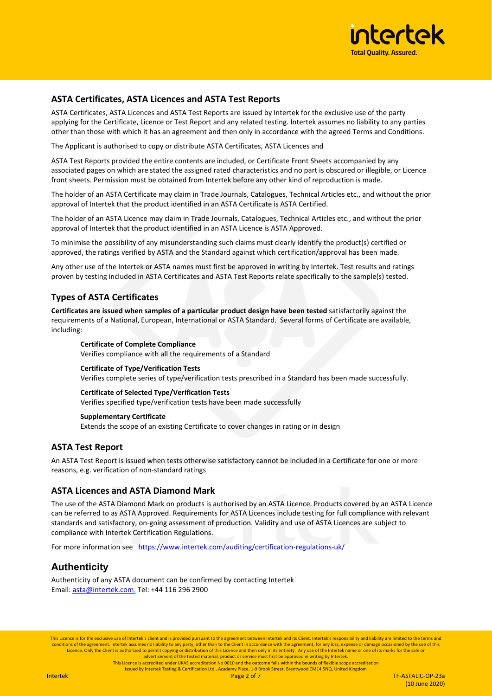

## **ASTA Certificates, ASTA Licences and ASTA Test Reports**

ASTA Certificates, ASTA Licences and ASTA Test Reports are issued by Intertek for the exclusive use of the party applying for the Certificate, Licence or Test Report and any related testing. Intertek assumes no liability to any parties other than those with which it has an agreement and then only in accordance with the agreed Terms and Conditions.

The Applicant is authorised to copy or distribute ASTA Certificates, ASTA Licences and

ASTA Test Reports provided the entire contents are included, or Certificate Front Sheets accompanied by any associated pages on which are stated the assigned rated characteristics and no part is obscured or illegible, or Licence front sheets. Permission must be obtained from Intertek before any other kind of reproduction is made.

The holder of an ASTA Certificate may claim in Trade Journals, Catalogues, Technical Articles etc., and without the prior approval of Intertek that the product identified in an ASTA Certificate is ASTA Certified.

The holder of an ASTA Licence may claim in Trade Journals, Catalogues, Technical Articles etc., and without the prior approval of Intertek that the product identified in an ASTA Licence is ASTA Approved.

To minimise the possibility of any misunderstanding such claims must clearly identify the product(s) certified or approved, the ratings verified by ASTA and the Standard against which certification/approval has been made.

Any other use of the Intertek or ASTA names must first be approved in writing by Intertek. Test results and ratings proven by testing included in ASTA Certificates and ASTA Test Reports relate specifically to the sample(s) tested.

### **Types of ASTA Certificates**

**Certificates are issued when samples of a particular product design have been tested** satisfactorily against the requirements of a National, European, International or ASTA Standard. Several forms of Certificate are available, including:

**Certificate of Complete Compliance** Verifies compliance with all the requirements of a Standard

### **Certificate of Type/Verification Tests**

Verifies complete series of type/verification tests prescribed in a Standard has been made successfully.

### **Certificate of Selected Type/Verification Tests**

Verifies specified type/verification tests have been made successfully

### **Supplementary Certificate**

Extends the scope of an existing Certificate to cover changes in rating or in design

## **ASTA Test Report**

An ASTA Test Report is issued when tests otherwise satisfactory cannot be included in a Certificate for one or more reasons, e.g. verification of non-standard ratings

### **ASTA Licences and ASTA Diamond Mark**

The use of the ASTA Diamond Mark on products is authorised by an ASTA Licence. Products covered by an ASTA Licence can be referred to as ASTA Approved. Requirements for ASTA Licences include testing for full compliance with relevant standards and satisfactory, on-going assessment of production. Validity and use of ASTA Licences are subject to compliance with Intertek Certification Regulations.

For more information see <https://www.intertek.com/auditing/certification-regulations-uk/>

## **Authenticity**

Authenticity of any ASTA document can be confirmed by contacting Intertek Email: [asta@intertek.com,](mailto:asta@intertek.com) Tel: +44 116 296 2900

This Licence is for the exclusive use of Intertek's client and is provided pursuant to the agreement between Intertek and its Client. Intertek's responsibility and liability are limited to the terms and conditions of the agreement. Intertek assumes no liability to any party, other than to the Client in accordance with the agreement, for any loss, expense or damage occasioned by the use of this Licence. Only the Client is authorized to permit copying or distribution of this Licence and then only in its entirety. Any use of the Intertek name or one of its marks for the sale or<br>advertisement of the tested material,

This Licence is accredited under UKAS accreditation No 0010 and the outcome falls within the bounds of flexible scope accreditation

Issued by Intertek Testing & Certification Ltd., Academy Place, 1-9 Brook Street, Brentwood CM14 5NQ, United Kingdom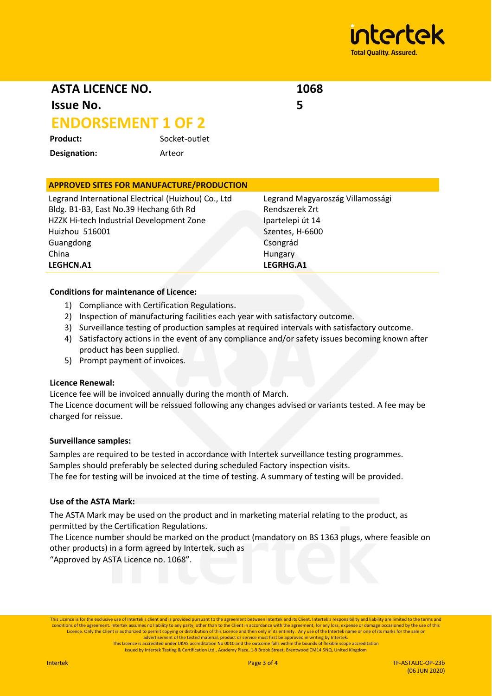

**ASTA LICENCE NO.**

**Issue No.** 

# **ENDORSEMENT 1 OF 2**

Product: Socket-outlet **Designation:** Arteor

# **APPROVED SITES FOR MANUFACTURE/PRODUCTION**

Legrand International Electrical (Huizhou) Co., Ltd Bldg. B1-B3, East No.39 Hechang 6th Rd HZZK Hi-tech Industrial Development Zone Huizhou 516001 Guangdong China **LEGHCN.A1**

Legrand Magyaroszág Villamossági Rendszerek Zrt Ipartelepi út 14 Szentes, H-6600 Csongrád Hungary **LEGRHG.A1**

**1068**

**5**

### **Conditions for maintenance of Licence:**

- 1) Compliance with Certification Regulations.
- 2) Inspection of manufacturing facilities each year with satisfactory outcome.
- 3) Surveillance testing of production samples at required intervals with satisfactory outcome.
- 4) Satisfactory actions in the event of any compliance and/or safety issues becoming known after product has been supplied.
- 5) Prompt payment of invoices.

## **Licence Renewal:**

Licence fee will be invoiced annually during the month of March.

The Licence document will be reissued following any changes advised or variants tested. A fee may be charged for reissue.

### **Surveillance samples:**

Samples are required to be tested in accordance with Intertek surveillance testing programmes. Samples should preferably be selected during scheduled Factory inspection visits. The fee for testing will be invoiced at the time of testing. A summary of testing will be provided.

### **Use of the ASTA Mark:**

The ASTA Mark may be used on the product and in marketing material relating to the product, as permitted by the Certification Regulations.

The Licence number should be marked on the product (mandatory on BS 1363 plugs, where feasible on other products) in a form agreed by Intertek, such as

"Approved by ASTA Licence no. 1068".

This Licence is for the exclusive use of Intertek's client and is provided pursuant to the agreement between Intertek and its Client. Intertek's responsibility and liability are limited to the terms and conditions of the agreement. Intertek assumes no liability to any party, other than to the Client in accordance with the agreement, for any loss, expense or damage occasioned by the use of this this bench than to the Clien advertisement of the tested material, product or service must first be approved in writing by Intertek.<br>This Licence is accredited under UKAS accreditation No 0010 and the outcome falls within the bounds of flexible scope

Issued by Intertek Testing & Certification Ltd., Academy Place, 1-9 Brook Street, Brentwood CM14 5NQ, United Kingdom